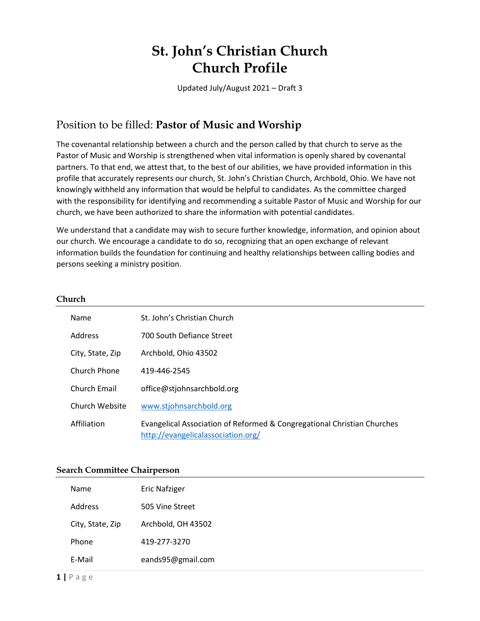# **St. John's Christian Church Church Profile**

Updated July/August 2021 – Draft 3

## Position to be filled: **Pastor of Music and Worship**

The covenantal relationship between a church and the person called by that church to serve as the Pastor of Music and Worship is strengthened when vital information is openly shared by covenantal partners. To that end, we attest that, to the best of our abilities, we have provided information in this profile that accurately represents our church, St. John's Christian Church, Archbold, Ohio. We have not knowingly withheld any information that would be helpful to candidates. As the committee charged with the responsibility for identifying and recommending a suitable Pastor of Music and Worship for our church, we have been authorized to share the information with potential candidates.

We understand that a candidate may wish to secure further knowledge, information, and opinion about our church. We encourage a candidate to do so, recognizing that an open exchange of relevant information builds the foundation for continuing and healthy relationships between calling bodies and persons seeking a ministry position.

#### **Church**

| Name             | St. John's Christian Church                                                                                   |
|------------------|---------------------------------------------------------------------------------------------------------------|
| Address          | <b>700 South Defiance Street</b>                                                                              |
| City, State, Zip | Archbold, Ohio 43502                                                                                          |
| Church Phone     | 419-446-2545                                                                                                  |
| Church Email     | office@stjohnsarchbold.org                                                                                    |
| Church Website   | www.stjohnsarchbold.org                                                                                       |
| Affiliation      | Evangelical Association of Reformed & Congregational Christian Churches<br>http://evangelicalassociation.org/ |

#### **Search Committee Chairperson**

| Name             | <b>Eric Nafziger</b> |
|------------------|----------------------|
| Address          | 505 Vine Street      |
| City, State, Zip | Archbold, OH 43502   |
| Phone            | 419-277-3270         |
| E-Mail           | eands95@gmail.com    |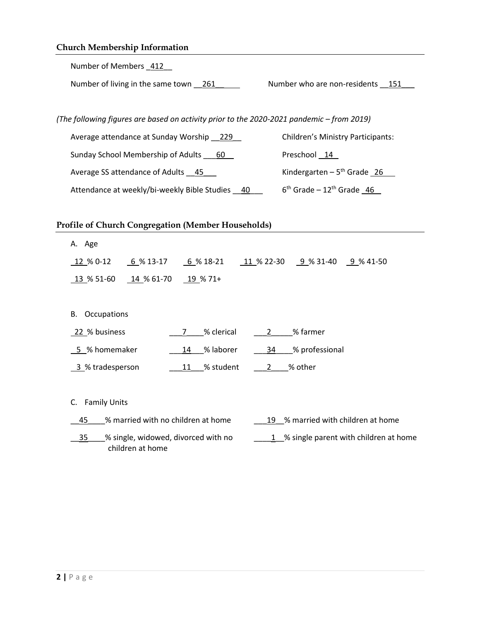| <b>Church Membership Information</b>                                                                        |  |  |  |  |  |
|-------------------------------------------------------------------------------------------------------------|--|--|--|--|--|
| Number of Members 412                                                                                       |  |  |  |  |  |
| Number of living in the same town 261<br>Number who are non-residents 151                                   |  |  |  |  |  |
|                                                                                                             |  |  |  |  |  |
| (The following figures are based on activity prior to the 2020-2021 pandemic - from 2019)                   |  |  |  |  |  |
| <b>Children's Ministry Participants:</b><br>Average attendance at Sunday Worship 229                        |  |  |  |  |  |
| Sunday School Membership of Adults 60<br>Preschool 14                                                       |  |  |  |  |  |
| Kindergarten - $5th$ Grade 26<br>Average SS attendance of Adults 45                                         |  |  |  |  |  |
| $6th$ Grade - 12 <sup>th</sup> Grade 46<br>Attendance at weekly/bi-weekly Bible Studies 40                  |  |  |  |  |  |
|                                                                                                             |  |  |  |  |  |
| <b>Profile of Church Congregation (Member Households)</b>                                                   |  |  |  |  |  |
| A. Age                                                                                                      |  |  |  |  |  |
| $6\%$ 13-17<br>$6\%18-21$<br>11 % 22-30 9 % 31-40 9 % 41-50<br>12 % 0-12                                    |  |  |  |  |  |
| $14\%$ 61-70<br><u>13</u> % 51-60<br>$\underline{19}$ % 71+                                                 |  |  |  |  |  |
|                                                                                                             |  |  |  |  |  |
| Occupations<br>В.                                                                                           |  |  |  |  |  |
| % clerical<br>% farmer<br>22 % business<br>$\mathbf{2}^{\prime}$<br>7                                       |  |  |  |  |  |
| 5 % homemaker<br>14 % laborer<br>% professional<br>34                                                       |  |  |  |  |  |
| % student<br>% other<br>3 % tradesperson<br>11<br>$\mathbf{2}$                                              |  |  |  |  |  |
|                                                                                                             |  |  |  |  |  |
| <b>Family Units</b><br>C.                                                                                   |  |  |  |  |  |
| % married with no children at home<br>% married with children at home<br>45<br>19                           |  |  |  |  |  |
| % single parent with children at home<br>35<br>% single, widowed, divorced with no<br>1<br>children at home |  |  |  |  |  |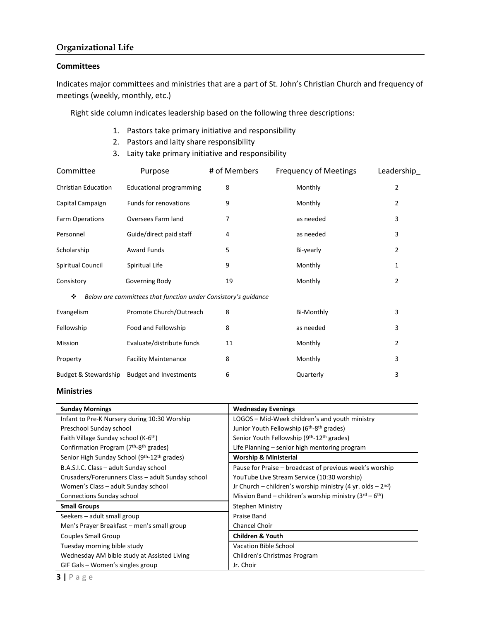#### **Organizational Life**

#### **Committees**

Indicates major committees and ministries that are a part of St. John's Christian Church and frequency of meetings (weekly, monthly, etc.)

Right side column indicates leadership based on the following three descriptions:

- 1. Pastors take primary initiative and responsibility
- 2. Pastors and laity share responsibility
- 3. Laity take primary initiative and responsibility

| Committee                                                           | Purpose                        | # of Members | <b>Frequency of Meetings</b> | Leadership     |  |  |
|---------------------------------------------------------------------|--------------------------------|--------------|------------------------------|----------------|--|--|
| <b>Christian Education</b>                                          | <b>Educational programming</b> | 8            | Monthly                      | 2              |  |  |
| Capital Campaign                                                    | Funds for renovations          | 9            | Monthly                      | 2              |  |  |
| Farm Operations                                                     | Oversees Farm land             | 7            | as needed                    | 3              |  |  |
| Personnel                                                           | Guide/direct paid staff        | 4            | as needed                    | 3              |  |  |
| Scholarship                                                         | <b>Award Funds</b>             | 5            | Bi-yearly                    | 2              |  |  |
| Spiritual Council                                                   | Spiritual Life                 | 9            | Monthly                      | 1              |  |  |
| Consistory                                                          | Governing Body                 | 19           | Monthly                      | $\overline{2}$ |  |  |
| Below are committees that function under Consistory's guidance<br>❖ |                                |              |                              |                |  |  |
| Evangelism                                                          | Promote Church/Outreach        | 8            | Bi-Monthly                   | 3              |  |  |
| Fellowship                                                          | Food and Fellowship            | 8            | as needed                    | 3              |  |  |
| Mission                                                             | Evaluate/distribute funds      | 11           | Monthly                      | 2              |  |  |
| Property                                                            | <b>Facility Maintenance</b>    | 8            | Monthly                      | 3              |  |  |
| Budget & Stewardship                                                | <b>Budget and Investments</b>  | 6            | Quarterly                    | 3              |  |  |

#### **Ministries**

| <b>Sunday Mornings</b>                                               | <b>Wednesday Evenings</b>                                         |  |  |
|----------------------------------------------------------------------|-------------------------------------------------------------------|--|--|
| Infant to Pre-K Nursery during 10:30 Worship                         | LOGOS – Mid-Week children's and youth ministry                    |  |  |
| Preschool Sunday school                                              | Junior Youth Fellowship (6 <sup>th</sup> -8 <sup>th</sup> grades) |  |  |
| Faith Village Sunday school (K-6 <sup>th</sup> )                     | Senior Youth Fellowship (9th-12th grades)                         |  |  |
| Confirmation Program (7 <sup>th</sup> -8 <sup>th</sup> grades)       | Life Planning – senior high mentoring program                     |  |  |
| Senior High Sunday School (9 <sup>th</sup> -12 <sup>th</sup> grades) | <b>Worship &amp; Ministerial</b>                                  |  |  |
| B.A.S.I.C. Class - adult Sunday school                               | Pause for Praise – broadcast of previous week's worship           |  |  |
| Crusaders/Forerunners Class – adult Sunday school                    | YouTube Live Stream Service (10:30 worship)                       |  |  |
| Women's Class - adult Sunday school                                  | Jr Church – children's worship ministry (4 yr. olds – $2^{nd}$ )  |  |  |
| <b>Connections Sunday school</b>                                     | Mission Band – children's worship ministry $(3^{rd} - 6^{th})$    |  |  |
| <b>Small Groups</b>                                                  | <b>Stephen Ministry</b>                                           |  |  |
| Seekers - adult small group                                          | Praise Band                                                       |  |  |
| Men's Prayer Breakfast - men's small group                           | Chancel Choir                                                     |  |  |
| Couples Small Group                                                  | <b>Children &amp; Youth</b>                                       |  |  |
| Tuesday morning bible study                                          | Vacation Bible School                                             |  |  |
| Wednesday AM bible study at Assisted Living                          | Children's Christmas Program                                      |  |  |
| GIF Gals – Women's singles group                                     | Jr. Choir                                                         |  |  |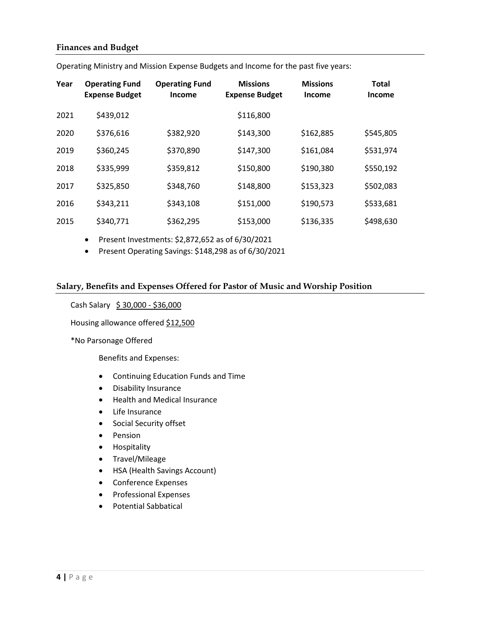#### **Finances and Budget**

| Year | <b>Operating Fund</b><br><b>Expense Budget</b> | <b>Operating Fund</b><br><b>Income</b> | <b>Missions</b><br><b>Expense Budget</b> | <b>Missions</b><br><b>Income</b> | <b>Total</b><br><b>Income</b> |
|------|------------------------------------------------|----------------------------------------|------------------------------------------|----------------------------------|-------------------------------|
| 2021 | \$439,012                                      |                                        | \$116,800                                |                                  |                               |
| 2020 | \$376,616                                      | \$382,920                              | \$143,300                                | \$162,885                        | \$545,805                     |
| 2019 | \$360,245                                      | \$370,890                              | \$147,300                                | \$161,084                        | \$531,974                     |
| 2018 | \$335,999                                      | \$359,812                              | \$150,800                                | \$190,380                        | \$550,192                     |
| 2017 | \$325,850                                      | \$348,760                              | \$148,800                                | \$153,323                        | \$502,083                     |
| 2016 | \$343,211                                      | \$343,108                              | \$151,000                                | \$190,573                        | \$533,681                     |
| 2015 | \$340,771                                      | \$362,295                              | \$153,000                                | \$136,335                        | \$498,630                     |

Operating Ministry and Mission Expense Budgets and Income for the past five years:

Present Investments: \$2,872,652 as of 6/30/2021

Present Operating Savings: \$148,298 as of 6/30/2021

#### **Salary, Benefits and Expenses Offered for Pastor of Music and Worship Position**

#### Cash Salary \$ 30,000 - \$36,000

Housing allowance offered \$12,500

\*No Parsonage Offered

Benefits and Expenses:

- Continuing Education Funds and Time
- Disability Insurance
- Health and Medical Insurance
- Life Insurance
- Social Security offset
- Pension
- **•** Hospitality
- Travel/Mileage
- HSA (Health Savings Account)
- Conference Expenses
- **•** Professional Expenses
- Potential Sabbatical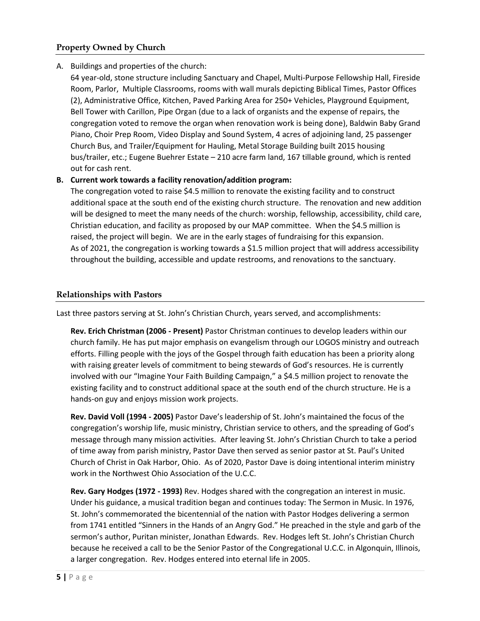### **Property Owned by Church**

#### A. Buildings and properties of the church:

64 year-old, stone structure including Sanctuary and Chapel, Multi-Purpose Fellowship Hall, Fireside Room, Parlor, Multiple Classrooms, rooms with wall murals depicting Biblical Times, Pastor Offices (2), Administrative Office, Kitchen, Paved Parking Area for 250+ Vehicles, Playground Equipment, Bell Tower with Carillon, Pipe Organ (due to a lack of organists and the expense of repairs, the congregation voted to remove the organ when renovation work is being done), Baldwin Baby Grand Piano, Choir Prep Room, Video Display and Sound System, 4 acres of adjoining land, 25 passenger Church Bus, and Trailer/Equipment for Hauling, Metal Storage Building built 2015 housing bus/trailer, etc.; Eugene Buehrer Estate – 210 acre farm land, 167 tillable ground, which is rented out for cash rent.

#### **B. Current work towards a facility renovation/addition program:**

The congregation voted to raise \$4.5 million to renovate the existing facility and to construct additional space at the south end of the existing church structure. The renovation and new addition will be designed to meet the many needs of the church: worship, fellowship, accessibility, child care, Christian education, and facility as proposed by our MAP committee. When the \$4.5 million is raised, the project will begin. We are in the early stages of fundraising for this expansion. As of 2021, the congregation is working towards a \$1.5 million project that will address accessibility throughout the building, accessible and update restrooms, and renovations to the sanctuary.

#### **Relationships with Pastors**

Last three pastors serving at St. John's Christian Church, years served, and accomplishments:

**Rev. Erich Christman (2006 - Present)** Pastor Christman continues to develop leaders within our church family. He has put major emphasis on evangelism through our LOGOS ministry and outreach efforts. Filling people with the joys of the Gospel through faith education has been a priority along with raising greater levels of commitment to being stewards of God's resources. He is currently involved with our "Imagine Your Faith Building Campaign," a \$4.5 million project to renovate the existing facility and to construct additional space at the south end of the church structure. He is a hands-on guy and enjoys mission work projects.

**Rev. David Voll (1994 - 2005)** Pastor Dave's leadership of St. John's maintained the focus of the congregation's worship life, music ministry, Christian service to others, and the spreading of God's message through many mission activities. After leaving St. John's Christian Church to take a period of time away from parish ministry, Pastor Dave then served as senior pastor at St. Paul's United Church of Christ in Oak Harbor, Ohio. As of 2020, Pastor Dave is doing intentional interim ministry work in the Northwest Ohio Association of the U.C.C.

**Rev. Gary Hodges (1972 - 1993)** Rev. Hodges shared with the congregation an interest in music. Under his guidance, a musical tradition began and continues today: The Sermon in Music. In 1976, St. John's commemorated the bicentennial of the nation with Pastor Hodges delivering a sermon from 1741 entitled "Sinners in the Hands of an Angry God." He preached in the style and garb of the sermon's author, Puritan minister, Jonathan Edwards. Rev. Hodges left St. John's Christian Church because he received a call to be the Senior Pastor of the Congregational U.C.C. in Algonquin, Illinois, a larger congregation. Rev. Hodges entered into eternal life in 2005.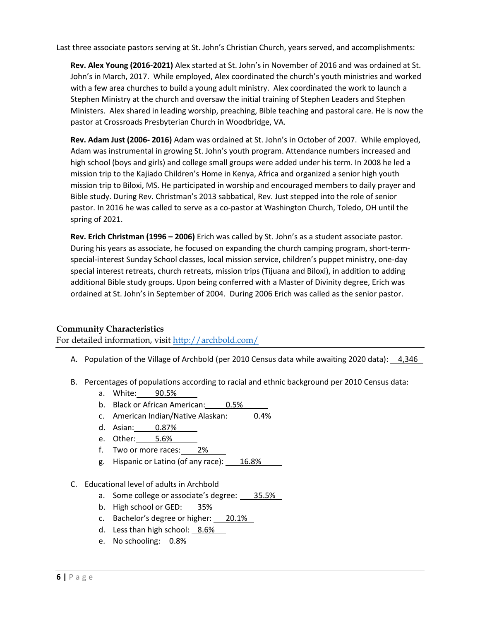Last three associate pastors serving at St. John's Christian Church, years served, and accomplishments:

**Rev. Alex Young (2016-2021)** Alex started at St. John's in November of 2016 and was ordained at St. John's in March, 2017. While employed, Alex coordinated the church's youth ministries and worked with a few area churches to build a young adult ministry. Alex coordinated the work to launch a Stephen Ministry at the church and oversaw the initial training of Stephen Leaders and Stephen Ministers. Alex shared in leading worship, preaching, Bible teaching and pastoral care. He is now the pastor at Crossroads Presbyterian Church in Woodbridge, VA.

**Rev. Adam Just (2006- 2016)** Adam was ordained at St. John's in October of 2007. While employed, Adam was instrumental in growing St. John's youth program. Attendance numbers increased and high school (boys and girls) and college small groups were added under his term. In 2008 he led a mission trip to the Kajiado Children's Home in Kenya, Africa and organized a senior high youth mission trip to Biloxi, MS. He participated in worship and encouraged members to daily prayer and Bible study. During Rev. Christman's 2013 sabbatical, Rev. Just stepped into the role of senior pastor. In 2016 he was called to serve as a co-pastor at Washington Church, Toledo, OH until the spring of 2021.

**Rev. Erich Christman (1996 – 2006)** Erich was called by St. John's as a student associate pastor. During his years as associate, he focused on expanding the church camping program, short-termspecial-interest Sunday School classes, local mission service, children's puppet ministry, one-day special interest retreats, church retreats, mission trips (Tijuana and Biloxi), in addition to adding additional Bible study groups. Upon being conferred with a Master of Divinity degree, Erich was ordained at St. John's in September of 2004. During 2006 Erich was called as the senior pastor.

#### **Community Characteristics**

For detailed information, visit<http://archbold.com/>

- A. Population of the Village of Archbold (per 2010 Census data while awaiting 2020 data): 4,346
- B. Percentages of populations according to racial and ethnic background per 2010 Census data:
	- a. White: 90.5%
	- b. Black or African American: 0.5%
	- c. American Indian/Native Alaskan: 0.4%
	- d. Asian: 0.87%
	- e. Other: 5.6%
	- f. Two or more races: 2%
	- g. Hispanic or Latino (of any race): 16.8%
- C. Educational level of adults in Archbold
	- a. Some college or associate's degree: 35.5%
	- b. High school or GED: 35%
	- c. Bachelor's degree or higher: 20.1%
	- d. Less than high school: 8.6%
	- e. No schooling: 0.8%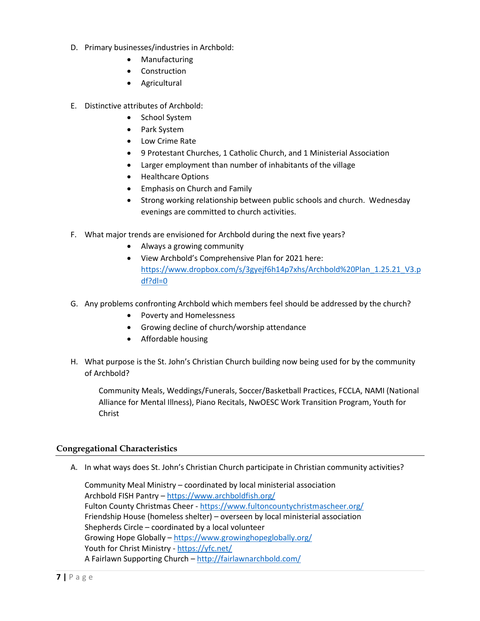- D. Primary businesses/industries in Archbold:
	- Manufacturing
	- Construction
	- Agricultural
- E. Distinctive attributes of Archbold:
	- School System
	- Park System
	- Low Crime Rate
	- 9 Protestant Churches, 1 Catholic Church, and 1 Ministerial Association
	- Larger employment than number of inhabitants of the village
	- Healthcare Options
	- Emphasis on Church and Family
	- Strong working relationship between public schools and church. Wednesday evenings are committed to church activities.
- F. What major trends are envisioned for Archbold during the next five years?
	- Always a growing community
	- View Archbold's Comprehensive Plan for 2021 here: [https://www.dropbox.com/s/3gyejf6h14p7xhs/Archbold%20Plan\\_1.25.21\\_V3.p](https://www.dropbox.com/s/3gyejf6h14p7xhs/Archbold%20Plan_1.25.21_V3.pdf?dl=0) [df?dl=0](https://www.dropbox.com/s/3gyejf6h14p7xhs/Archbold%20Plan_1.25.21_V3.pdf?dl=0)
- G. Any problems confronting Archbold which members feel should be addressed by the church?
	- Poverty and Homelessness
	- Growing decline of church/worship attendance
	- Affordable housing
- H. What purpose is the St. John's Christian Church building now being used for by the community of Archbold?

Community Meals, Weddings/Funerals, Soccer/Basketball Practices, FCCLA, NAMI (National Alliance for Mental Illness), Piano Recitals, NwOESC Work Transition Program, Youth for Christ

#### **Congregational Characteristics**

A. In what ways does St. John's Christian Church participate in Christian community activities?

Community Meal Ministry – coordinated by local ministerial association Archbold FISH Pantry - <https://www.archboldfish.org/> Fulton County Christmas Cheer - <https://www.fultoncountychristmascheer.org/> Friendship House (homeless shelter) – overseen by local ministerial association Shepherds Circle – coordinated by a local volunteer Growing Hope Globally – <https://www.growinghopeglobally.org/> Youth for Christ Ministry - <https://yfc.net/> A Fairlawn Supporting Church - <http://fairlawnarchbold.com/>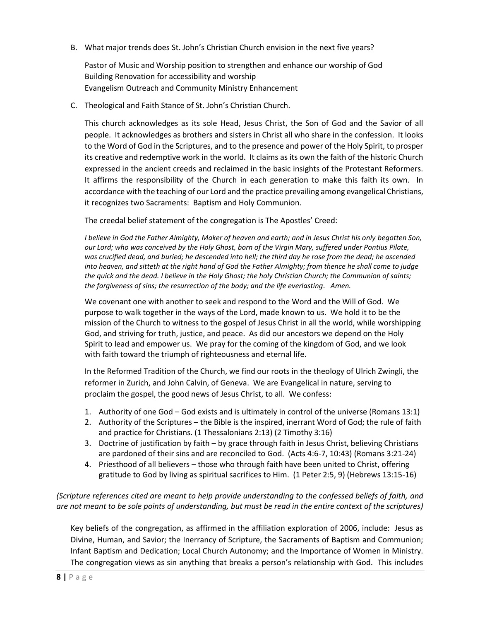B. What major trends does St. John's Christian Church envision in the next five years?

Pastor of Music and Worship position to strengthen and enhance our worship of God Building Renovation for accessibility and worship Evangelism Outreach and Community Ministry Enhancement

C. Theological and Faith Stance of St. John's Christian Church.

This church acknowledges as its sole Head, Jesus Christ, the Son of God and the Savior of all people. It acknowledges as brothers and sisters in Christ all who share in the confession. It looks to the Word of God in the Scriptures, and to the presence and power of the Holy Spirit, to prosper its creative and redemptive work in the world. It claims as its own the faith of the historic Church expressed in the ancient creeds and reclaimed in the basic insights of the Protestant Reformers. It affirms the responsibility of the Church in each generation to make this faith its own. In accordance with the teaching of our Lord and the practice prevailing among evangelical Christians, it recognizes two Sacraments: Baptism and Holy Communion.

The creedal belief statement of the congregation is The Apostles' Creed:

*I believe in God the Father Almighty, Maker of heaven and earth; and in Jesus Christ his only begotten Son, our Lord; who was conceived by the Holy Ghost, born of the Virgin Mary, suffered under Pontius Pilate, was crucified dead, and buried; he descended into hell; the third day he rose from the dead; he ascended into heaven, and sitteth at the right hand of God the Father Almighty; from thence he shall come to judge the quick and the dead. I believe in the Holy Ghost; the holy Christian Church; the Communion of saints; the forgiveness of sins; the resurrection of the body; and the life everlasting. Amen.*

We covenant one with another to seek and respond to the Word and the Will of God. We purpose to walk together in the ways of the Lord, made known to us. We hold it to be the mission of the Church to witness to the gospel of Jesus Christ in all the world, while worshipping God, and striving for truth, justice, and peace. As did our ancestors we depend on the Holy Spirit to lead and empower us. We pray for the coming of the kingdom of God, and we look with faith toward the triumph of righteousness and eternal life.

In the Reformed Tradition of the Church, we find our roots in the theology of Ulrich Zwingli, the reformer in Zurich, and John Calvin, of Geneva. We are Evangelical in nature, serving to proclaim the gospel, the good news of Jesus Christ, to all. We confess:

- 1. Authority of one God God exists and is ultimately in control of the universe (Romans 13:1)
- 2. Authority of the Scriptures the Bible is the inspired, inerrant Word of God; the rule of faith and practice for Christians. (1 Thessalonians 2:13) (2 Timothy 3:16)
- 3. Doctrine of justification by faith by grace through faith in Jesus Christ, believing Christians are pardoned of their sins and are reconciled to God. (Acts 4:6-7, 10:43) (Romans 3:21-24)
- 4. Priesthood of all believers those who through faith have been united to Christ, offering gratitude to God by living as spiritual sacrifices to Him. (1 Peter 2:5, 9) (Hebrews 13:15-16)

### *(Scripture references cited are meant to help provide understanding to the confessed beliefs of faith, and are not meant to be sole points of understanding, but must be read in the entire context of the scriptures)*

Key beliefs of the congregation, as affirmed in the affiliation exploration of 2006, include: Jesus as Divine, Human, and Savior; the Inerrancy of Scripture, the Sacraments of Baptism and Communion; Infant Baptism and Dedication; Local Church Autonomy; and the Importance of Women in Ministry. The congregation views as sin anything that breaks a person's relationship with God. This includes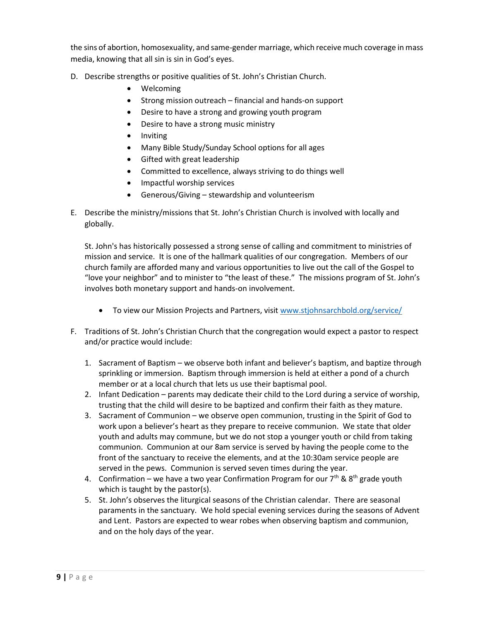the sins of abortion, homosexuality, and same-gender marriage, which receive much coverage in mass media, knowing that all sin is sin in God's eyes.

- D. Describe strengths or positive qualities of St. John's Christian Church.
	- Welcoming
	- Strong mission outreach financial and hands-on support
	- Desire to have a strong and growing youth program
	- Desire to have a strong music ministry
	- Inviting
	- Many Bible Study/Sunday School options for all ages
	- Gifted with great leadership
	- Committed to excellence, always striving to do things well
	- Impactful worship services
	- Generous/Giving stewardship and volunteerism
- E. Describe the ministry/missions that St. John's Christian Church is involved with locally and globally.

St. John's has historically possessed a strong sense of calling and commitment to ministries of mission and service. It is one of the hallmark qualities of our congregation. Members of our church family are afforded many and various opportunities to live out the call of the Gospel to "love your neighbor" and to minister to "the least of these." The missions program of St. John's involves both monetary support and hands-on involvement.

- To view our Mission Projects and Partners, visit [www.stjohnsarchbold.org/service/](http://www.stjohnsarchbold.org/service/)
- F. Traditions of St. John's Christian Church that the congregation would expect a pastor to respect and/or practice would include:
	- 1. Sacrament of Baptism we observe both infant and believer's baptism, and baptize through sprinkling or immersion. Baptism through immersion is held at either a pond of a church member or at a local church that lets us use their baptismal pool.
	- 2. Infant Dedication parents may dedicate their child to the Lord during a service of worship, trusting that the child will desire to be baptized and confirm their faith as they mature.
	- 3. Sacrament of Communion we observe open communion, trusting in the Spirit of God to work upon a believer's heart as they prepare to receive communion. We state that older youth and adults may commune, but we do not stop a younger youth or child from taking communion. Communion at our 8am service is served by having the people come to the front of the sanctuary to receive the elements, and at the 10:30am service people are served in the pews. Communion is served seven times during the year.
	- 4. Confirmation we have a two year Confirmation Program for our  $7<sup>th</sup>$  &  $8<sup>th</sup>$  grade youth which is taught by the pastor(s).
	- 5. St. John's observes the liturgical seasons of the Christian calendar. There are seasonal paraments in the sanctuary. We hold special evening services during the seasons of Advent and Lent. Pastors are expected to wear robes when observing baptism and communion, and on the holy days of the year.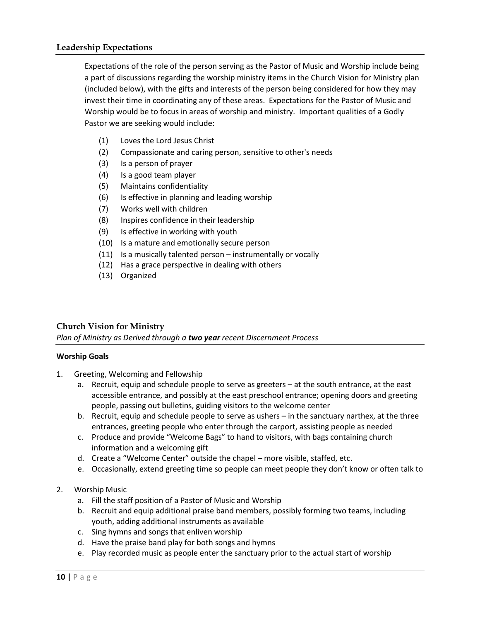Expectations of the role of the person serving as the Pastor of Music and Worship include being a part of discussions regarding the worship ministry items in the Church Vision for Ministry plan (included below), with the gifts and interests of the person being considered for how they may invest their time in coordinating any of these areas. Expectations for the Pastor of Music and Worship would be to focus in areas of worship and ministry. Important qualities of a Godly Pastor we are seeking would include:

- (1) Loves the Lord Jesus Christ
- (2) Compassionate and caring person, sensitive to other's needs
- (3) Is a person of prayer
- (4) Is a good team player
- (5) Maintains confidentiality
- (6) Is effective in planning and leading worship
- (7) Works well with children
- (8) Inspires confidence in their leadership
- (9) Is effective in working with youth
- (10) Is a mature and emotionally secure person
- (11) Is a musically talented person instrumentally or vocally
- (12) Has a grace perspective in dealing with others
- (13) Organized

#### **Church Vision for Ministry**

*Plan of Ministry as Derived through a two year recent Discernment Process*

#### **Worship Goals**

- 1. Greeting, Welcoming and Fellowship
	- a. Recruit, equip and schedule people to serve as greeters at the south entrance, at the east accessible entrance, and possibly at the east preschool entrance; opening doors and greeting people, passing out bulletins, guiding visitors to the welcome center
	- b. Recruit, equip and schedule people to serve as ushers in the sanctuary narthex, at the three entrances, greeting people who enter through the carport, assisting people as needed
	- c. Produce and provide "Welcome Bags" to hand to visitors, with bags containing church information and a welcoming gift
	- d. Create a "Welcome Center" outside the chapel more visible, staffed, etc.
	- e. Occasionally, extend greeting time so people can meet people they don't know or often talk to

#### 2. Worship Music

- a. Fill the staff position of a Pastor of Music and Worship
- b. Recruit and equip additional praise band members, possibly forming two teams, including youth, adding additional instruments as available
- c. Sing hymns and songs that enliven worship
- d. Have the praise band play for both songs and hymns
- e. Play recorded music as people enter the sanctuary prior to the actual start of worship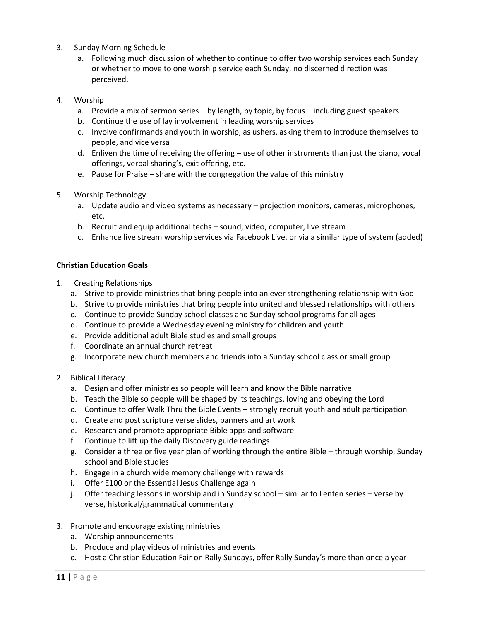- 3. Sunday Morning Schedule
	- a. Following much discussion of whether to continue to offer two worship services each Sunday or whether to move to one worship service each Sunday, no discerned direction was perceived.
- 4. Worship
	- a. Provide a mix of sermon series by length, by topic, by focus including guest speakers
	- b. Continue the use of lay involvement in leading worship services
	- c. Involve confirmands and youth in worship, as ushers, asking them to introduce themselves to people, and vice versa
	- d. Enliven the time of receiving the offering use of other instruments than just the piano, vocal offerings, verbal sharing's, exit offering, etc.
	- e. Pause for Praise share with the congregation the value of this ministry
- 5. Worship Technology
	- a. Update audio and video systems as necessary projection monitors, cameras, microphones, etc.
	- b. Recruit and equip additional techs sound, video, computer, live stream
	- c. Enhance live stream worship services via Facebook Live, or via a similar type of system (added)

#### **Christian Education Goals**

- 1. Creating Relationships
	- a. Strive to provide ministries that bring people into an ever strengthening relationship with God
	- b. Strive to provide ministries that bring people into united and blessed relationships with others
	- c. Continue to provide Sunday school classes and Sunday school programs for all ages
	- d. Continue to provide a Wednesday evening ministry for children and youth
	- e. Provide additional adult Bible studies and small groups
	- f. Coordinate an annual church retreat
	- g. Incorporate new church members and friends into a Sunday school class or small group
- 2. Biblical Literacy
	- a. Design and offer ministries so people will learn and know the Bible narrative
	- b. Teach the Bible so people will be shaped by its teachings, loving and obeying the Lord
	- c. Continue to offer Walk Thru the Bible Events strongly recruit youth and adult participation
	- d. Create and post scripture verse slides, banners and art work
	- e. Research and promote appropriate Bible apps and software
	- f. Continue to lift up the daily Discovery guide readings
	- g. Consider a three or five year plan of working through the entire Bible through worship, Sunday school and Bible studies
	- h. Engage in a church wide memory challenge with rewards
	- i. Offer E100 or the Essential Jesus Challenge again
	- j. Offer teaching lessons in worship and in Sunday school similar to Lenten series verse by verse, historical/grammatical commentary
- 3. Promote and encourage existing ministries
	- a. Worship announcements
	- b. Produce and play videos of ministries and events
	- c. Host a Christian Education Fair on Rally Sundays, offer Rally Sunday's more than once a year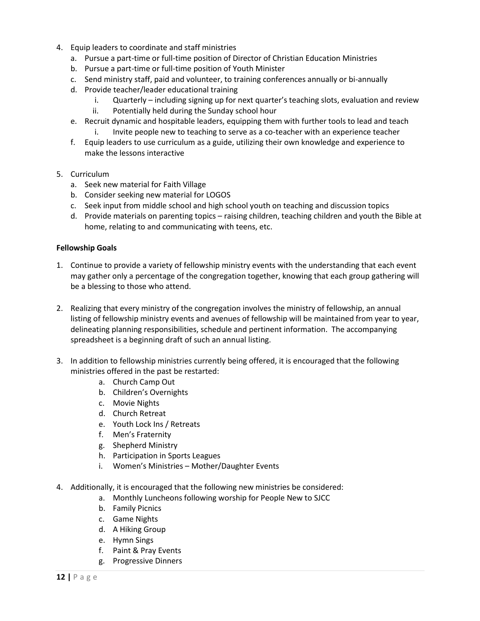- 4. Equip leaders to coordinate and staff ministries
	- a. Pursue a part-time or full-time position of Director of Christian Education Ministries
	- b. Pursue a part-time or full-time position of Youth Minister
	- c. Send ministry staff, paid and volunteer, to training conferences annually or bi-annually
	- d. Provide teacher/leader educational training
		- i. Quarterly including signing up for next quarter's teaching slots, evaluation and review
		- ii. Potentially held during the Sunday school hour
	- e. Recruit dynamic and hospitable leaders, equipping them with further tools to lead and teach
		- i. Invite people new to teaching to serve as a co-teacher with an experience teacher
	- f. Equip leaders to use curriculum as a guide, utilizing their own knowledge and experience to make the lessons interactive
- 5. Curriculum
	- a. Seek new material for Faith Village
	- b. Consider seeking new material for LOGOS
	- c. Seek input from middle school and high school youth on teaching and discussion topics
	- d. Provide materials on parenting topics raising children, teaching children and youth the Bible at home, relating to and communicating with teens, etc.

#### **Fellowship Goals**

- 1. Continue to provide a variety of fellowship ministry events with the understanding that each event may gather only a percentage of the congregation together, knowing that each group gathering will be a blessing to those who attend.
- 2. Realizing that every ministry of the congregation involves the ministry of fellowship, an annual listing of fellowship ministry events and avenues of fellowship will be maintained from year to year, delineating planning responsibilities, schedule and pertinent information. The accompanying spreadsheet is a beginning draft of such an annual listing.
- 3. In addition to fellowship ministries currently being offered, it is encouraged that the following ministries offered in the past be restarted:
	- a. Church Camp Out
	- b. Children's Overnights
	- c. Movie Nights
	- d. Church Retreat
	- e. Youth Lock Ins / Retreats
	- f. Men's Fraternity
	- g. Shepherd Ministry
	- h. Participation in Sports Leagues
	- i. Women's Ministries Mother/Daughter Events
- 4. Additionally, it is encouraged that the following new ministries be considered:
	- a. Monthly Luncheons following worship for People New to SJCC
	- b. Family Picnics
	- c. Game Nights
	- d. A Hiking Group
	- e. Hymn Sings
	- f. Paint & Pray Events
	- g. Progressive Dinners